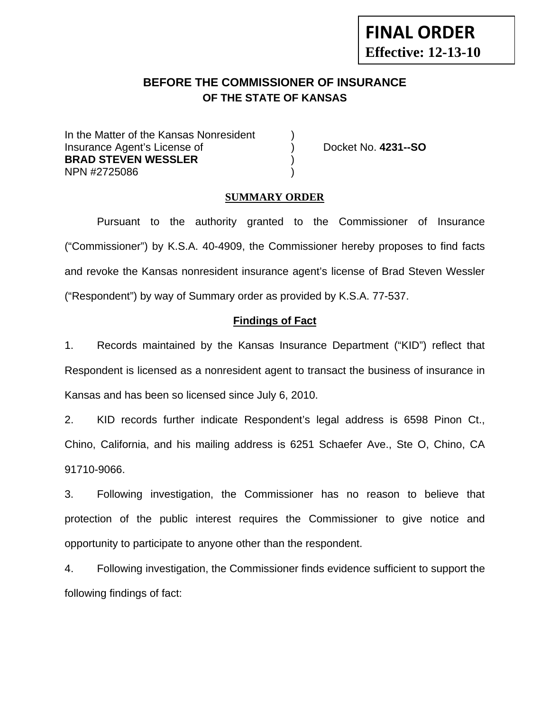# **BEFORE THE COMMISSIONER OF INSURANCE OF THE STATE OF KANSAS**

In the Matter of the Kansas Nonresident Insurance Agent's License of ) Docket No. **4231--SO BRAD STEVEN WESSLER** ) NPN #2725086 )

**FINAL ORDER**

**Effective: 12-13-10** 

#### **SUMMARY ORDER**

Pursuant to the authority granted to the Commissioner of Insurance ("Commissioner") by K.S.A. 40-4909, the Commissioner hereby proposes to find facts and revoke the Kansas nonresident insurance agent's license of Brad Steven Wessler ("Respondent") by way of Summary order as provided by K.S.A. 77-537.

#### **Findings of Fact**

1. Records maintained by the Kansas Insurance Department ("KID") reflect that Respondent is licensed as a nonresident agent to transact the business of insurance in Kansas and has been so licensed since July 6, 2010.

2. KID records further indicate Respondent's legal address is 6598 Pinon Ct., Chino, California, and his mailing address is 6251 Schaefer Ave., Ste O, Chino, CA 91710-9066.

3. Following investigation, the Commissioner has no reason to believe that protection of the public interest requires the Commissioner to give notice and opportunity to participate to anyone other than the respondent.

4. Following investigation, the Commissioner finds evidence sufficient to support the following findings of fact: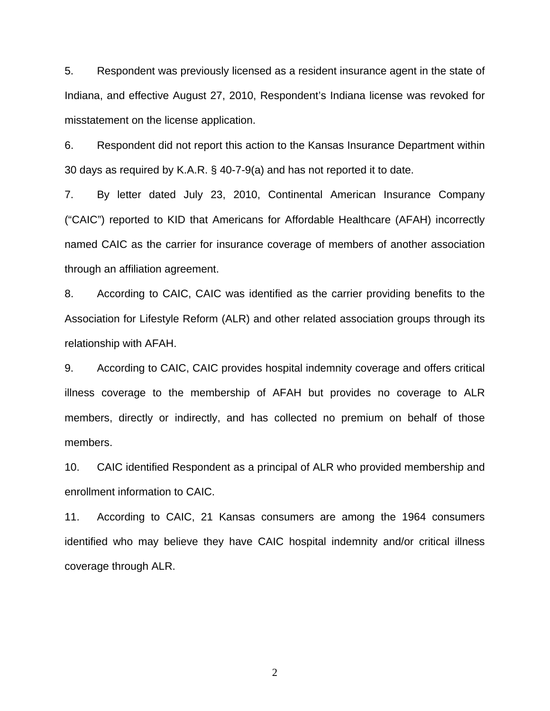5. Respondent was previously licensed as a resident insurance agent in the state of Indiana, and effective August 27, 2010, Respondent's Indiana license was revoked for misstatement on the license application.

6. Respondent did not report this action to the Kansas Insurance Department within 30 days as required by K.A.R. § 40-7-9(a) and has not reported it to date.

7. By letter dated July 23, 2010, Continental American Insurance Company ("CAIC") reported to KID that Americans for Affordable Healthcare (AFAH) incorrectly named CAIC as the carrier for insurance coverage of members of another association through an affiliation agreement.

8. According to CAIC, CAIC was identified as the carrier providing benefits to the Association for Lifestyle Reform (ALR) and other related association groups through its relationship with AFAH.

9. According to CAIC, CAIC provides hospital indemnity coverage and offers critical illness coverage to the membership of AFAH but provides no coverage to ALR members, directly or indirectly, and has collected no premium on behalf of those members.

10. CAIC identified Respondent as a principal of ALR who provided membership and enrollment information to CAIC.

11. According to CAIC, 21 Kansas consumers are among the 1964 consumers identified who may believe they have CAIC hospital indemnity and/or critical illness coverage through ALR.

2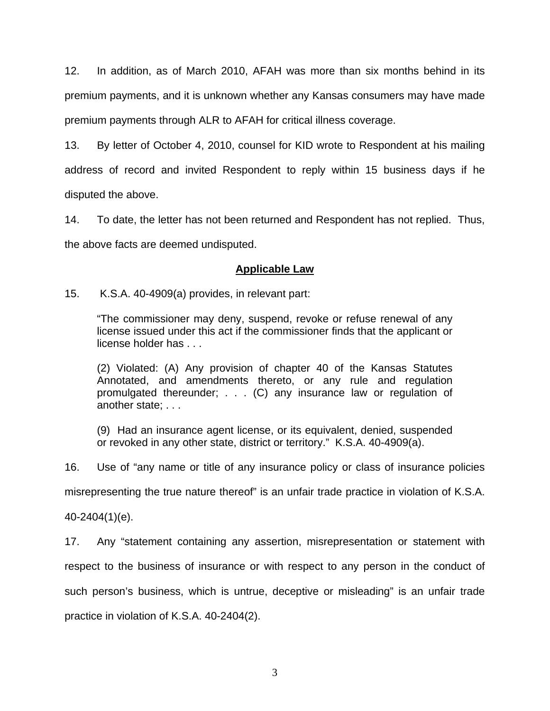12. In addition, as of March 2010, AFAH was more than six months behind in its premium payments, and it is unknown whether any Kansas consumers may have made premium payments through ALR to AFAH for critical illness coverage.

13. By letter of October 4, 2010, counsel for KID wrote to Respondent at his mailing address of record and invited Respondent to reply within 15 business days if he disputed the above.

14. To date, the letter has not been returned and Respondent has not replied. Thus, the above facts are deemed undisputed.

# **Applicable Law**

15. K.S.A. 40-4909(a) provides, in relevant part:

"The commissioner may deny, suspend, revoke or refuse renewal of any license issued under this act if the commissioner finds that the applicant or license holder has . . .

(2) Violated: (A) Any provision of chapter 40 of the Kansas Statutes Annotated, and amendments thereto, or any rule and regulation promulgated thereunder; . . . (C) any insurance law or regulation of another state; . . .

(9) Had an insurance agent license, or its equivalent, denied, suspended or revoked in any other state, district or territory." K.S.A. 40-4909(a).

16. Use of "any name or title of any insurance policy or class of insurance policies

misrepresenting the true nature thereof" is an unfair trade practice in violation of K.S.A.

40-2404(1)(e).

17. Any "statement containing any assertion, misrepresentation or statement with respect to the business of insurance or with respect to any person in the conduct of such person's business, which is untrue, deceptive or misleading" is an unfair trade practice in violation of K.S.A. 40-2404(2).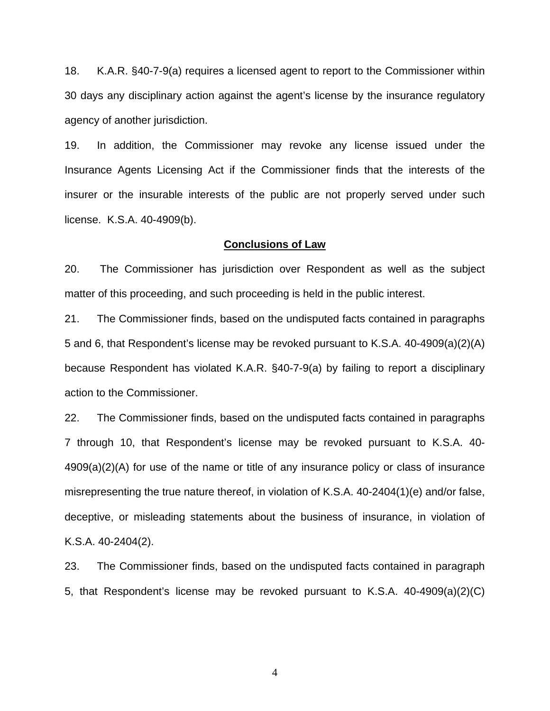18. K.A.R. §40-7-9(a) requires a licensed agent to report to the Commissioner within 30 days any disciplinary action against the agent's license by the insurance regulatory agency of another jurisdiction.

19. In addition, the Commissioner may revoke any license issued under the Insurance Agents Licensing Act if the Commissioner finds that the interests of the insurer or the insurable interests of the public are not properly served under such license. K.S.A. 40-4909(b).

#### **Conclusions of Law**

20. The Commissioner has jurisdiction over Respondent as well as the subject matter of this proceeding, and such proceeding is held in the public interest.

21. The Commissioner finds, based on the undisputed facts contained in paragraphs 5 and 6, that Respondent's license may be revoked pursuant to K.S.A. 40-4909(a)(2)(A) because Respondent has violated K.A.R. §40-7-9(a) by failing to report a disciplinary action to the Commissioner.

22. The Commissioner finds, based on the undisputed facts contained in paragraphs 7 through 10, that Respondent's license may be revoked pursuant to K.S.A. 40- 4909(a)(2)(A) for use of the name or title of any insurance policy or class of insurance misrepresenting the true nature thereof, in violation of K.S.A. 40-2404(1)(e) and/or false, deceptive, or misleading statements about the business of insurance, in violation of K.S.A. 40-2404(2).

23. The Commissioner finds, based on the undisputed facts contained in paragraph 5, that Respondent's license may be revoked pursuant to K.S.A. 40-4909(a)(2)(C)

4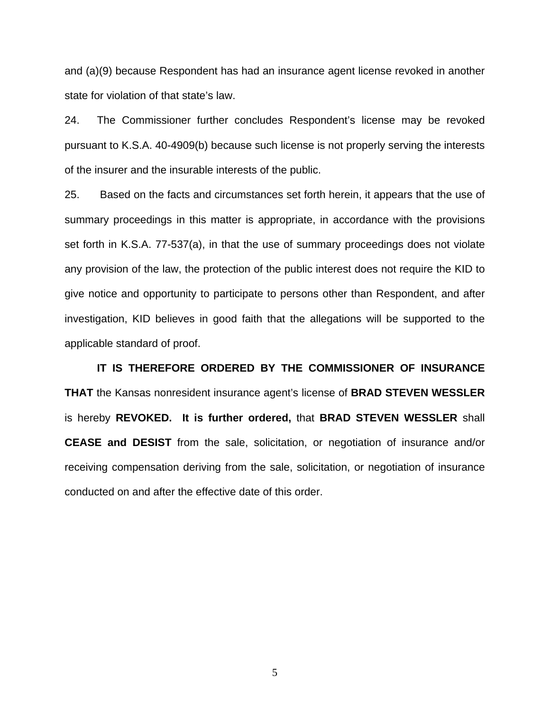and (a)(9) because Respondent has had an insurance agent license revoked in another state for violation of that state's law.

24. The Commissioner further concludes Respondent's license may be revoked pursuant to K.S.A. 40-4909(b) because such license is not properly serving the interests of the insurer and the insurable interests of the public.

25. Based on the facts and circumstances set forth herein, it appears that the use of summary proceedings in this matter is appropriate, in accordance with the provisions set forth in K.S.A. 77-537(a), in that the use of summary proceedings does not violate any provision of the law, the protection of the public interest does not require the KID to give notice and opportunity to participate to persons other than Respondent, and after investigation, KID believes in good faith that the allegations will be supported to the applicable standard of proof.

 **IT IS THEREFORE ORDERED BY THE COMMISSIONER OF INSURANCE THAT** the Kansas nonresident insurance agent's license of **BRAD STEVEN WESSLER** is hereby **REVOKED. It is further ordered,** that **BRAD STEVEN WESSLER** shall **CEASE and DESIST** from the sale, solicitation, or negotiation of insurance and/or receiving compensation deriving from the sale, solicitation, or negotiation of insurance conducted on and after the effective date of this order.

5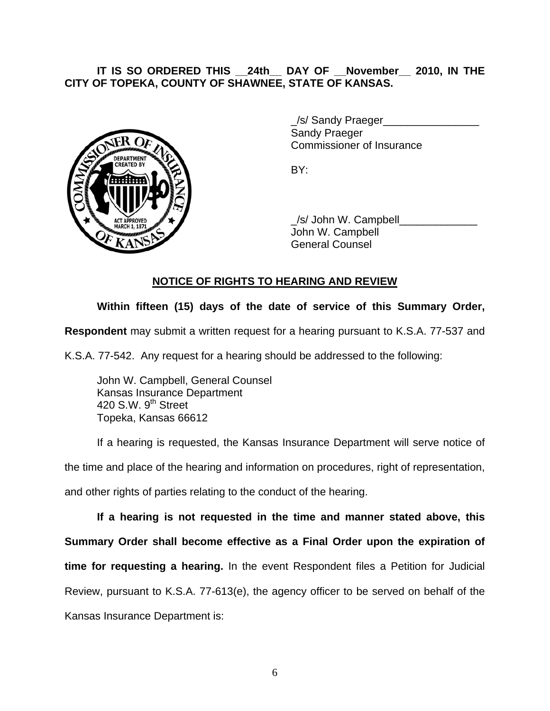# **IT IS SO ORDERED THIS \_\_24th\_\_ DAY OF \_\_November\_\_ 2010, IN THE CITY OF TOPEKA, COUNTY OF SHAWNEE, STATE OF KANSAS.**



/s/ Sandy Praeger Sandy Praeger Commissioner of Insurance

 \_/s/ John W. Campbell\_\_\_\_\_\_\_\_\_\_\_\_\_ John W. Campbell General Counsel

## **NOTICE OF RIGHTS TO HEARING AND REVIEW**

## **Within fifteen (15) days of the date of service of this Summary Order,**

**Respondent** may submit a written request for a hearing pursuant to K.S.A. 77-537 and

K.S.A. 77-542. Any request for a hearing should be addressed to the following:

 John W. Campbell, General Counsel Kansas Insurance Department 420 S.W. 9<sup>th</sup> Street Topeka, Kansas 66612

If a hearing is requested, the Kansas Insurance Department will serve notice of the time and place of the hearing and information on procedures, right of representation,

and other rights of parties relating to the conduct of the hearing.

**If a hearing is not requested in the time and manner stated above, this Summary Order shall become effective as a Final Order upon the expiration of time for requesting a hearing.** In the event Respondent files a Petition for Judicial Review, pursuant to K.S.A. 77-613(e), the agency officer to be served on behalf of the Kansas Insurance Department is: